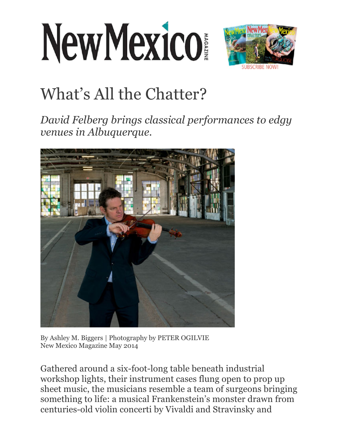## NewMexico



## What's All the Chatter?

*David Felberg brings classical performances to edgy venues in Albuquerque.*



By Ashley M. Biggers | Photography by PETER OGILVIE New Mexico Magazine May 2014

Gathered around a six-foot-long table beneath industrial workshop lights, their instrument cases flung open to prop up sheet music, the musicians resemble a team of surgeons bringing something to life: a musical Frankenstein's monster drawn from centuries-old violin concerti by Vivaldi and Stravinsky and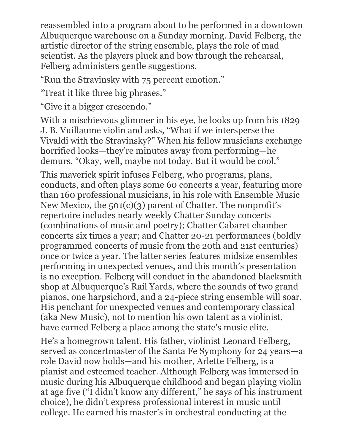reassembled into a program about to be performed in a downtown Albuquerque warehouse on a Sunday morning. David Felberg, the artistic director of the string ensemble, plays the role of mad scientist. As the players pluck and bow through the rehearsal, Felberg administers gentle suggestions.

"Run the Stravinsky with 75 percent emotion."

"Treat it like three big phrases."

"Give it a bigger crescendo."

With a mischievous glimmer in his eye, he looks up from his 1829 J. B. Vuillaume violin and asks, "What if we intersperse the Vivaldi with the Stravinsky?" When his fellow musicians exchange horrified looks—they're minutes away from performing—he demurs. "Okay, well, maybe not today. But it would be cool."

This maverick spirit infuses Felberg, who programs, plans, conducts, and often plays some 60 concerts a year, featuring more than 160 professional musicians, in his role with Ensemble Music New Mexico, the 501(c)(3) parent of Chatter. The nonprofit's repertoire includes nearly weekly Chatter Sunday concerts (combinations of music and poetry); Chatter Cabaret chamber concerts six times a year; and Chatter 20-21 performances (boldly programmed concerts of music from the 20th and 21st centuries) once or twice a year. The latter series features midsize ensembles performing in unexpected venues, and this month's presentation is no exception. Felberg will conduct in the abandoned blacksmith shop at Albuquerque's Rail Yards, where the sounds of two grand pianos, one harpsichord, and a 24-piece string ensemble will soar. His penchant for unexpected venues and contemporary classical (aka New Music), not to mention his own talent as a violinist, have earned Felberg a place among the state's music elite.

He's a homegrown talent. His father, violinist Leonard Felberg, served as concertmaster of the Santa Fe Symphony for 24 years—a role David now holds—and his mother, Arlette Felberg, is a pianist and esteemed teacher. Although Felberg was immersed in music during his Albuquerque childhood and began playing violin at age five ("I didn't know any different," he says of his instrument choice), he didn't express professional interest in music until college. He earned his master's in orchestral conducting at the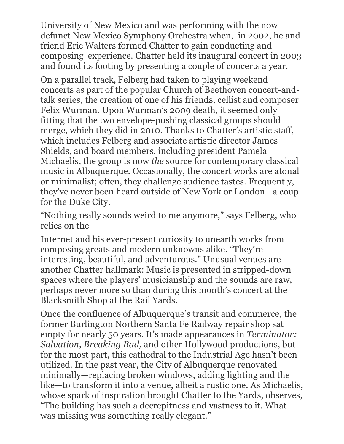University of New Mexico and was performing with the now defunct New Mexico Symphony Orchestra when, in 2002, he and friend Eric Walters formed Chatter to gain conducting and composing experience. Chatter held its inaugural concert in 2003 and found its footing by presenting a couple of concerts a year.

On a parallel track, Felberg had taken to playing weekend concerts as part of the popular Church of Beethoven concert-andtalk series, the creation of one of his friends, cellist and composer Felix Wurman. Upon Wurman's 2009 death, it seemed only fitting that the two envelope-pushing classical groups should merge, which they did in 2010. Thanks to Chatter's artistic staff, which includes Felberg and associate artistic director James Shields, and board members, including president Pamela Michaelis, the group is now *the* source for contemporary classical music in Albuquerque. Occasionally, the concert works are atonal or minimalist; often, they challenge audience tastes. Frequently, they've never been heard outside of New York or London—a coup for the Duke City.

"Nothing really sounds weird to me anymore," says Felberg, who relies on the

Internet and his ever-present curiosity to unearth works from composing greats and modern unknowns alike. "They're interesting, beautiful, and adventurous." Unusual venues are another Chatter hallmark: Music is presented in stripped-down spaces where the players' musicianship and the sounds are raw, perhaps never more so than during this month's concert at the Blacksmith Shop at the Rail Yards.

Once the confluence of Albuquerque's transit and commerce, the former Burlington Northern Santa Fe Railway repair shop sat empty for nearly 50 years. It's made appearances in *Terminator: Salvation, Breaking Bad,* and other Hollywood productions, but for the most part, this cathedral to the Industrial Age hasn't been utilized. In the past year, the City of Albuquerque renovated minimally—replacing broken windows, adding lighting and the like—to transform it into a venue, albeit a rustic one. As Michaelis, whose spark of inspiration brought Chatter to the Yards, observes, "The building has such a decrepitness and vastness to it. What was missing was something really elegant."